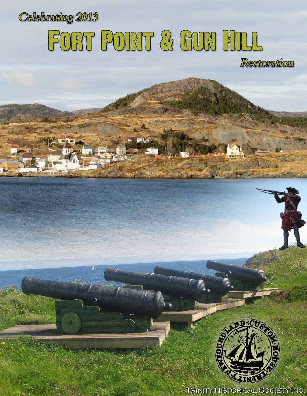

# **FORT POINT & GUN HILL**

Restoration



**TRINITY HISTORICAL SOCIETY INC.**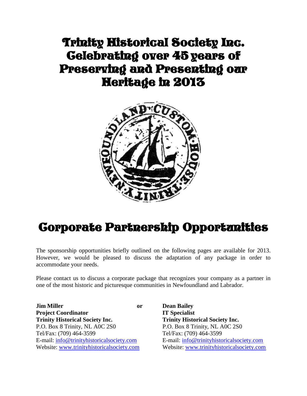## Trinity Historical Society Inc. Celebrating over 45 years of Preserving and Presenting our Heritage in 2013



# Corporate Partnership Opportunities

The sponsorship opportunities briefly outlined on the following pages are available for 2013. However, we would be pleased to discuss the adaptation of any package in order to accommodate your needs.

Please contact us to discuss a corporate package that recognizes your company as a partner in one of the most historic and picturesque communities in Newfoundland and Labrador.

**Jim Miller or Dean Bailey Project Coordinator IT Specialist Trinity Historical Society Inc. Trinity Historical Society Inc.** P.O. Box 8 Trinity, NL A0C 2S0 P.O. Box 8 Trinity, NL A0C 2S0 Tel/Fax: (709) 464-3599 Tel/Fax: (709) 464-3599 E-mail: [info@trinityhistoricalsociety.com](mailto:info@trinityhistoricalsociety.com) E-mail: [info@trinityhistoricalsociety.com](mailto:info@trinityhistoricalsociety.com)

Website: [www.trinityhistoricalsociety.com](http://www.trinityhistoricalsociety.com/) Website: [www.trinityhistoricalsociety.com](http://www.trinityhistoricalsociety.com/)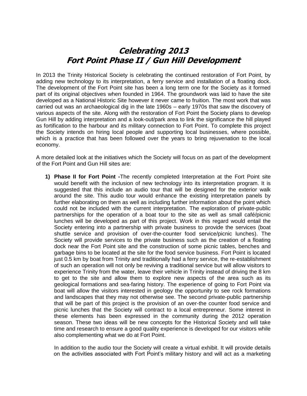### **Celebrating 2013 Fort Point Phase II / Gun Hill Development**

In 2013 the Trinity Historical Society is celebrating the continued restoration of Fort Point, by adding new technology to its interpretation, a ferry service and installation of a floating dock. The development of the Fort Point site has been a long term one for the Society as it formed part of its original objectives when founded in 1964. The groundwork was laid to have the site developed as a National Historic Site however it never came to fruition. The most work that was carried out was an archaeological dig in the late 1960s – early 1970s that saw the discovery of various aspects of the site. Along with the restoration of Fort Point the Society plans to develop Gun Hill by adding interpretation and a look-out/park area to link the significance the hill played as fortification to the harbour and its military connection to Fort Point. To complete this project the Society intends on hiring local people and supporting local businesses, where possible, which is a practice that has been followed over the years to bring rejuvenation to the local economy.

A more detailed look at the initiatives which the Society will focus on as part of the development of the Fort Point and Gun Hill sites are:

**1) Phase II for Fort Point -**The recently completed Interpretation at the Fort Point site would benefit with the inclusion of new technology into its interpretation program. It is suggested that this include an audio tour that will be designed for the exterior walk around the site. This audio tour would enhance the existing interpretation panels by further elaborating on them as well as including further information about the point which could not be included with the current interpretation. The exploration of private-public partnerships for the operation of a boat tour to the site as well as small café/picnic lunches will be developed as part of this project. Work in this regard would entail the Society entering into a partnership with private business to provide the services (boat shuttle service and provision of over-the-counter food service/picnic lunches). The Society will provide services to the private business such as the creation of a floating dock near the Fort Point site and the construction of some picnic tables, benches and garbage bins to be located at the site for the food service business. Fort Point is located just 0.5 km by boat from Trinity and traditionally had a ferry service, the re-establishment of such an operation will not only be reviving a traditional service but will allow visitors to experience Trinity from the water, leave their vehicle in Trinity instead of driving the 8 km to get to the site and allow them to explore new aspects of the area such as its geological formations and sea-faring history. The experience of going to Fort Point via boat will allow the visitors interested in geology the opportunity to see rock formations and landscapes that they may not otherwise see. The second private-public partnership that will be part of this project is the provision of an over-the counter food service and picnic lunches that the Society will contract to a local entrepreneur. Some interest in these elements has been expressed in the community during the 2012 operation season. These two ideas will be new concepts for the Historical Society and will take time and research to ensure a good quality experience is developed for our visitors while also complementing what we do at Fort Point.

In addition to the audio tour the Society will create a virtual exhibit. It will provide details on the activities associated with Fort Point's military history and will act as a marketing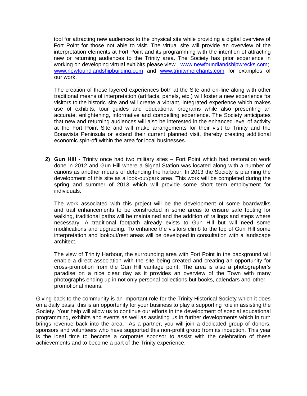tool for attracting new audiences to the physical site while providing a digital overview of Fort Point for those not able to visit. The virtual site will provide an overview of the interpretation elements at Fort Point and its programming with the intention of attracting new or returning audiences to the Trinity area. The Society has prior experience in working on developing virtual exhibits please view [www.newfoundlandshipwrecks.com;](http://www.newfoundlandshipwrecks.com/) [www.newfoundlandshipbuilding.com](http://www.newfoundlandshipbuilding.com/) and [www.trinitymerchants.com](http://www.trinitymerchants.com/) for examples of our work.

The creation of these layered experiences both at the Site and on-line along with other traditional means of interpretation (artifacts, panels, etc.) will foster a new experience for visitors to the historic site and will create a vibrant, integrated experience which makes use of exhibits, tour guides and educational programs while also presenting an accurate, enlightening, informative and compelling experience. The Society anticipates that new and returning audiences will also be interested in the enhanced level of activity at the Fort Point Site and will make arrangements for their visit to Trinity and the Bonavista Peninsula or extend their current planned visit, thereby creating additional economic spin-off within the area for local businesses.

**2) Gun Hill -** Trinity once had two military sites – Fort Point which had restoration work done in 2012 and Gun Hill where a Signal Station was located along with a number of canons as another means of defending the harbour. In 2013 the Society is planning the development of this site as a look-out/park area. This work will be completed during the spring and summer of 2013 which will provide some short term employment for individuals.

The work associated with this project will be the development of some boardwalks and trail enhancements to be constructed in some areas to ensure safe footing for walking, traditional paths will be maintained and the addition of railings and steps where necessary. A traditional footpath already exists to Gun Hill but will need some modifications and upgrading. To enhance the visitors climb to the top of Gun Hill some interpretation and lookout/rest areas will be developed in consultation with a landscape architect.

The view of Trinity Harbour, the surrounding area with Fort Point in the background will enable a direct association with the site being created and creating an opportunity for cross-promotion from the Gun Hill vantage point. The area is also a photographer's paradise on a nice clear day as it provides an overview of the Town with many photographs ending up in not only personal collections but books, calendars and other promotional means.

Giving back to the community is an important role for the Trinity Historical Society which it does on a daily basis; this is an opportunity for your business to play a supporting role in assisting the Society. Your help will allow us to continue our efforts in the development of special educational programming, exhibits and events as well as assisting us in further developments which in turn brings revenue back into the area. As a partner, you will join a dedicated group of donors, sponsors and volunteers who have supported this non-profit group from its inception. This year is the ideal time to become a corporate sponsor to assist with the celebration of these achievements and to become a part of the Trinity experience.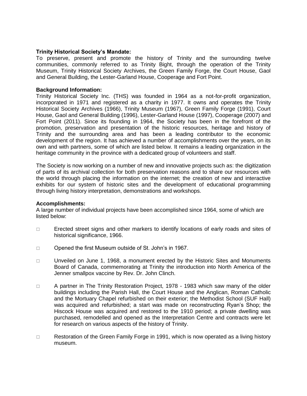#### **Trinity Historical Society's Mandate:**

To preserve, present and promote the history of Trinity and the surrounding twelve communities, commonly referred to as Trinity Bight, through the operation of the Trinity Museum, Trinity Historical Society Archives, the Green Family Forge, the Court House, Gaol and General Building, the Lester-Garland House, Cooperage and Fort Point.

#### **Background Information:**

Trinity Historical Society Inc. (THS) was founded in 1964 as a not-for-profit organization, incorporated in 1971 and registered as a charity in 1977. It owns and operates the Trinity Historical Society Archives (1966), Trinity Museum (1967), Green Family Forge (1991), Court House, Gaol and General Building (1996), Lester-Garland House (1997), Cooperage (2007) and Fort Point (2011). Since its founding in 1964, the Society has been in the forefront of the promotion, preservation and presentation of the historic resources, heritage and history of Trinity and the surrounding area and has been a leading contributor to the economic development of the region. It has achieved a number of accomplishments over the years, on its own and with partners, some of which are listed below. It remains a leading organization in the heritage community in the province with a dedicated group of volunteers and staff.

The Society is now working on a number of new and innovative projects such as: the digitization of parts of its archival collection for both preservation reasons and to share our resources with the world through placing the information on the internet; the creation of new and interactive exhibits for our system of historic sites and the development of educational programming through living history interpretation, demonstrations and workshops.

#### **Accomplishments:**

A large number of individual projects have been accomplished since 1964, some of which are listed below:

- $\Box$  Erected street signs and other markers to identify locations of early roads and sites of historical significance, 1966.
- □ Opened the first Museum outside of St. John's in 1967.
- $\Box$  Unveiled on June 1, 1968, a monument erected by the Historic Sites and Monuments Board of Canada, commemorating at Trinity the introduction into North America of the Jenner smallpox vaccine by Rev. Dr. John Clinch.
- $\Box$  A partner in The Trinity Restoration Project, 1978 1983 which saw many of the older buildings including the Parish Hall, the Court House and the Anglican, Roman Catholic and the Mortuary Chapel refurbished on their exterior; the Methodist School (SUF Hall) was acquired and refurbished; a start was made on reconstructing Ryan's Shop; the Hiscock House was acquired and restored to the 1910 period; a private dwelling was purchased, remodelled and opened as the Interpretation Centre and contracts were let for research on various aspects of the history of Trinity.
- $\Box$  Restoration of the Green Family Forge in 1991, which is now operated as a living history museum.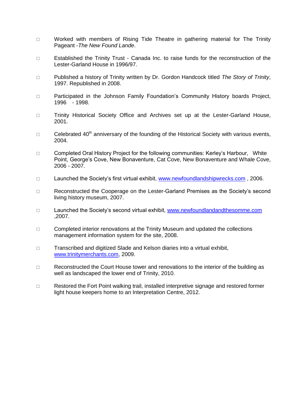- $\Box$  Worked with members of Rising Tide Theatre in gathering material for The Trinity Pageant -*The New Found Lande*.
- □ Established the Trinity Trust Canada Inc. to raise funds for the reconstruction of the Lester-Garland House in 1996/97.
- Published a history of Trinity written by Dr. Gordon Handcock titled *The Story of Trinity*, 1997. Republished in 2008.
- □ Participated in the Johnson Family Foundation's Community History boards Project, 1996 - 1998.
- □ Trinity Historical Society Office and Archives set up at the Lester-Garland House, 2001.
- $\Box$  Celebrated 40<sup>th</sup> anniversary of the founding of the Historical Society with various events, 2004.
- □ Completed Oral History Project for the following communities: Kerley's Harbour, White Point, George's Cove, New Bonaventure, Cat Cove, New Bonaventure and Whale Cove, 2006 - 2007.
- □ Launched the Society's first virtual exhibit, [www.newfoundlandshipwrecks.com](http://www.newfoundlandshipwrecks.com/), 2006.
- □ Reconstructed the Cooperage on the Lester-Garland Premises as the Society's second living history museum, 2007.
- $\Box$  Launched the Society's second virtual exhibit, [www.newfoundlandandthesomme.com](http://www.newfoundlandandthesomme.com/) ,2007.
- $\Box$  Completed interior renovations at the Trinity Museum and updated the collections management information system for the site, 2008.
- □ Transcribed and digitized Slade and Kelson diaries into a virtual exhibit, [www.trinitymerchants.com,](http://www.trinitymerchants.com/) 2009.
- $\Box$  Reconstructed the Court House tower and renovations to the interior of the building as well as landscaped the lower end of Trinity, 2010.
- $\Box$  Restored the Fort Point walking trail, installed interpretive signage and restored former light house keepers home to an Interpretation Centre, 2012.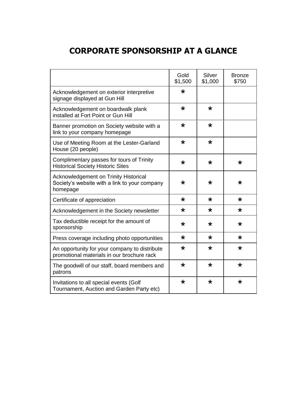## **CORPORATE SPONSORSHIP AT A GLANCE**

|                                                                                                    | Gold<br>\$1,500 | Silver<br>\$1,000 | <b>Bronze</b><br>\$750 |
|----------------------------------------------------------------------------------------------------|-----------------|-------------------|------------------------|
| Acknowledgement on exterior interpretive<br>signage displayed at Gun Hill                          | $\star$         |                   |                        |
| Acknowledgement on boardwalk plank<br>installed at Fort Point or Gun Hill                          | $\star$         | $\star$           |                        |
| Banner promotion on Society website with a<br>link to your company homepage                        | $\star$         | $\star$           |                        |
| Use of Meeting Room at the Lester-Garland<br>House (20 people)                                     | $\star$         | $\star$           |                        |
| Complimentary passes for tours of Trinity<br><b>Historical Society Historic Sites</b>              | $\star$         | $\star$           | $\star$                |
| Acknowledgement on Trinity Historical<br>Society's website with a link to your company<br>homepage | $\star$         | $\star$           | $\star$                |
| Certificate of appreciation                                                                        | $\star$         | $\star$           | $\star$                |
| Acknowledgement in the Society newsletter                                                          | $\star$         | $\star$           | $\star$                |
| Tax deductible receipt for the amount of<br>sponsorship                                            | $\star$         | $\star$           | $\star$                |
| Press coverage including photo opportunities                                                       | $\star$         | $\star$           | $\star$                |
| An opportunity for your company to distribute<br>promotional materials in our brochure rack        | $\star$         | $\star$           | $\star$                |
| The goodwill of our staff, board members and<br>patrons                                            | $\star$         | $\star$           | $\star$                |
| Invitations to all special events (Golf<br>Tournament, Auction and Garden Party etc)               | $\star$         | $\star$           | $\star$                |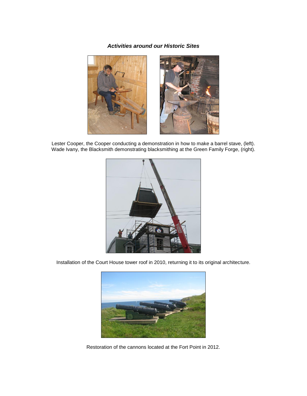#### *Activities around our Historic Sites*



Lester Cooper, the Cooper conducting a demonstration in how to make a barrel stave, (left). Wade Ivany, the Blacksmith demonstrating blacksmithing at the Green Family Forge, (right).



Installation of the Court House tower roof in 2010, returning it to its original architecture.



Restoration of the cannons located at the Fort Point in 2012.